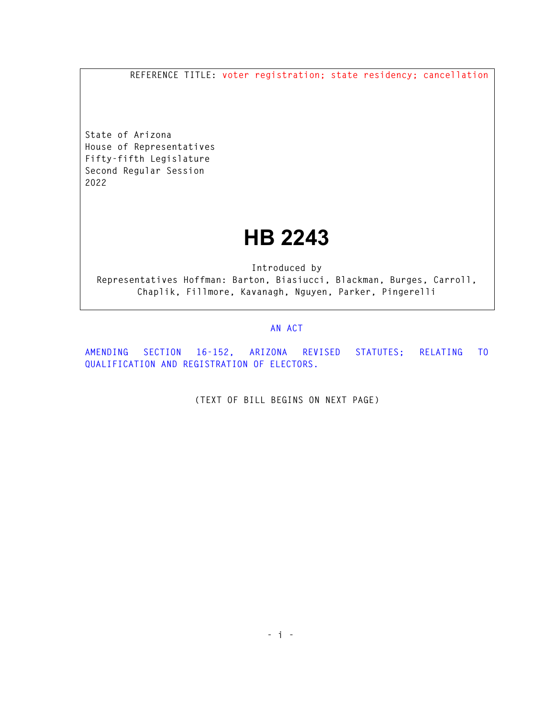**REFERENCE TITLE: voter registration; state residency; cancellation** 

**State of Arizona House of Representatives Fifty-fifth Legislature Second Regular Session 2022** 

## **HB 2243**

**Introduced by Representatives Hoffman: Barton, Biasiucci, Blackman, Burges, Carroll, Chaplik, Fillmore, Kavanagh, Nguyen, Parker, Pingerelli** 

## **AN ACT**

**AMENDING SECTION 16-152, ARIZONA REVISED STATUTES; RELATING TO QUALIFICATION AND REGISTRATION OF ELECTORS.** 

**(TEXT OF BILL BEGINS ON NEXT PAGE)**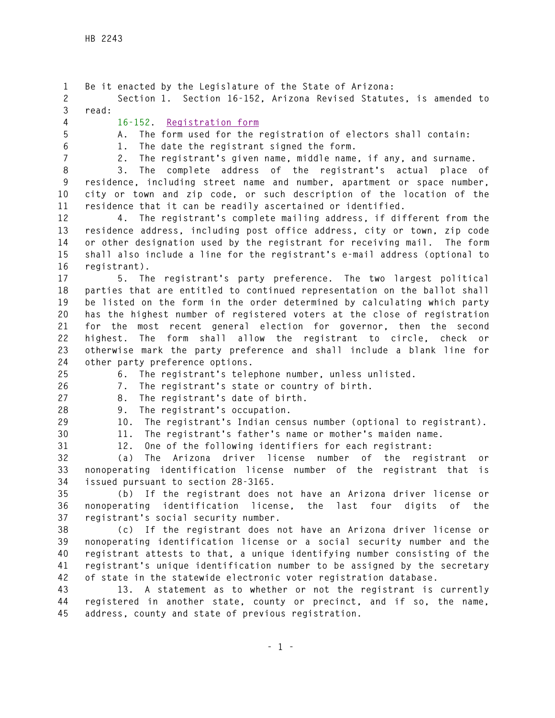**1 Be it enacted by the Legislature of the State of Arizona: 2 Section 1. Section 16-152, Arizona Revised Statutes, is amended to 3 read: 4 16-152. Registration form 5 A. The form used for the registration of electors shall contain: 6 1. The date the registrant signed the form. 7 2. The registrant's given name, middle name, if any, and surname. 8 3. The complete address of the registrant's actual place of 9 residence, including street name and number, apartment or space number, 10 city or town and zip code, or such description of the location of the 11 residence that it can be readily ascertained or identified. 12 4. The registrant's complete mailing address, if different from the 13 residence address, including post office address, city or town, zip code 14 or other designation used by the registrant for receiving mail. The form 15 shall also include a line for the registrant's e-mail address (optional to 16 registrant). 17 5. The registrant's party preference. The two largest political 18 parties that are entitled to continued representation on the ballot shall 19 be listed on the form in the order determined by calculating which party 20 has the highest number of registered voters at the close of registration 21 for the most recent general election for governor, then the second 22 highest. The form shall allow the registrant to circle, check or 23 otherwise mark the party preference and shall include a blank line for 24 other party preference options. 25 6. The registrant's telephone number, unless unlisted. 26 7. The registrant's state or country of birth. 27 8. The registrant's date of birth. 28 9. The registrant's occupation. 29 10. The registrant's Indian census number (optional to registrant). 30 11. The registrant's father's name or mother's maiden name. 31 12. One of the following identifiers for each registrant: 32 (a) The Arizona driver license number of the registrant or 33 nonoperating identification license number of the registrant that is 34 issued pursuant to section 28-3165. 35 (b) If the registrant does not have an Arizona driver license or 36 nonoperating identification license, the last four digits of the 37 registrant's social security number. 38 (c) If the registrant does not have an Arizona driver license or 39 nonoperating identification license or a social security number and the 40 registrant attests to that, a unique identifying number consisting of the 41 registrant's unique identification number to be assigned by the secretary 42 of state in the statewide electronic voter registration database. 43 13. A statement as to whether or not the registrant is currently 44 registered in another state, county or precinct, and if so, the name, 45 address, county and state of previous registration.**